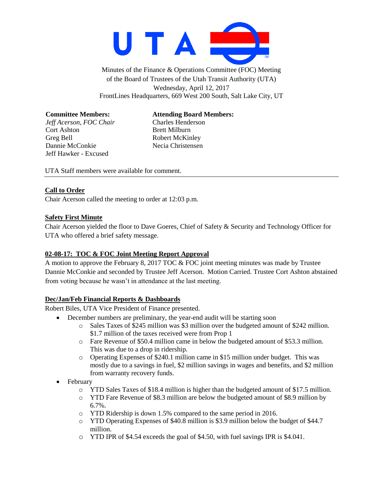

Minutes of the Finance & Operations Committee (FOC) Meeting of the Board of Trustees of the Utah Transit Authority (UTA) Wednesday, April 12, 2017 FrontLines Headquarters, 669 West 200 South, Salt Lake City, UT

**Committee Members: Attending Board Members:**

*Jeff Acerson, FOC Chair* Charles Henderson

Cort Ashton Brett Milburn Greg Bell Robert McKinley Dannie McConkie Necia Christensen Jeff Hawker - Excused

UTA Staff members were available for comment.

## **Call to Order**

Chair Acerson called the meeting to order at 12:03 p.m.

## **Safety First Minute**

Chair Acerson yielded the floor to Dave Goeres, Chief of Safety & Security and Technology Officer for UTA who offered a brief safety message.

## **02-08-17: TOC & FOC Joint Meeting Report Approval**

A motion to approve the February 8, 2017 TOC & FOC joint meeting minutes was made by Trustee Dannie McConkie and seconded by Trustee Jeff Acerson. Motion Carried. Trustee Cort Ashton abstained from voting because he wasn't in attendance at the last meeting.

## **Dec/Jan/Feb Financial Reports & Dashboards**

Robert Biles, UTA Vice President of Finance presented.

- December numbers are preliminary, the year-end audit will be starting soon
	- o Sales Taxes of \$245 million was \$3 million over the budgeted amount of \$242 million. \$1.7 million of the taxes received were from Prop 1
	- o Fare Revenue of \$50.4 million came in below the budgeted amount of \$53.3 million. This was due to a drop in ridership.
	- o Operating Expenses of \$240.1 million came in \$15 million under budget. This was mostly due to a savings in fuel, \$2 million savings in wages and benefits, and \$2 million from warranty recovery funds.
- February
	- $\circ$  YTD Sales Taxes of \$18.4 million is higher than the budgeted amount of \$17.5 million.
	- o YTD Fare Revenue of \$8.3 million are below the budgeted amount of \$8.9 million by 6.7%.
	- o YTD Ridership is down 1.5% compared to the same period in 2016.
	- o YTD Operating Expenses of \$40.8 million is \$3.9 million below the budget of \$44.7 million.
	- o YTD IPR of \$4.54 exceeds the goal of \$4.50, with fuel savings IPR is \$4.041.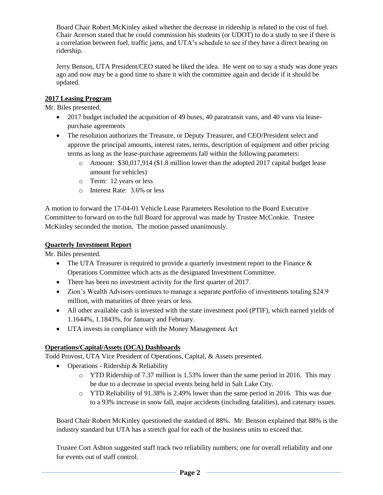Board Chair Robert McKinley asked whether the decrease in ridership is related to the cost of fuel. Chair Acerson stated that he could commission his students (or UDOT) to do a study to see if there is a correlation between fuel, traffic jams, and UTA's schedule to see if they have a direct bearing on ridership.

Jerry Benson, UTA President/CEO stated he liked the idea. He went on to say a study was done years ago and now may be a good time to share it with the committee again and decide if it should be updated.

### **2017 Leasing Program**

Mr. Biles presented.

- 2017 budget included the acquisition of 49 buses, 40 paratransit vans, and 40 vans via leasepurchase agreements
- The resolution authorizes the Treasure, or Deputy Treasurer, and CEO/President select and approve the principal amounts, interest rates, terms, description of equipment and other pricing terms as long as the lease-purchase agreements fall within the following parameters:
	- o Amount: \$30,017,914 (\$1.8 million lower than the adopted 2017 capital budget lease amount for vehicles)
	- o Term: 12 years or less
	- o Interest Rate: 3.6% or less

A motion to forward the 17-04-01 Vehicle Lease Parameters Resolution to the Board Executive Committee to forward on to the full Board for approval was made by Trustee McConkie. Trustee McKinley seconded the motion. The motion passed unanimously.

### **Quarterly Investment Report**

Mr. Biles presented.

- The UTA Treasurer is required to provide a quarterly investment report to the Finance  $\&$ Operations Committee which acts as the designated Investment Committee.
- There has been no investment activity for the first quarter of 2017.
- Zion's Wealth Advisors continues to manage a separate portfolio of investments totaling \$24.9 million, with maturities of three years or less.
- All other available cash is invested with the state investment pool (PTIF), which earned yields of 1.1644%, 1.1843%, for January and February.
- UTA invests in compliance with the Money Management Act

## **Operations/Capital/Assets (OCA) Dashboards**

Todd Provost, UTA Vice President of Operations, Capital, & Assets presented.

- Operations Ridership & Reliability
	- $\circ$  YTD Ridership of 7.37 million is 1.53% lower than the same period in 2016. This may be due to a decrease in special events being held in Salt Lake City.
	- o YTD Reliability of 91.38% is 2.49% lower than the same period in 2016. This was due to a 93% increase in snow fall, major accidents (including fatalities), and catenary issues.

Board Chair Robert McKinley questioned the standard of 88%. Mr. Benson explained that 88% is the industry standard but UTA has a stretch goal for each of the business units to exceed that.

Trustee Cort Ashton suggested staff track two reliability numbers; one for overall reliability and one for events out of staff control.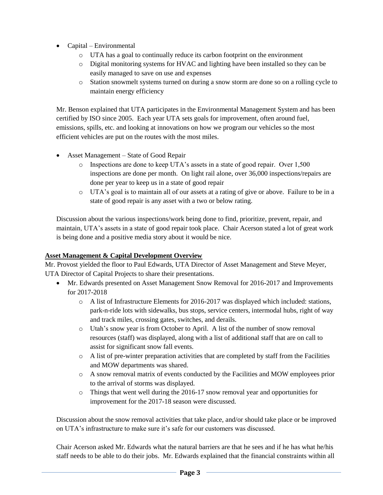- Capital Environmental
	- o UTA has a goal to continually reduce its carbon footprint on the environment
	- o Digital monitoring systems for HVAC and lighting have been installed so they can be easily managed to save on use and expenses
	- o Station snowmelt systems turned on during a snow storm are done so on a rolling cycle to maintain energy efficiency

Mr. Benson explained that UTA participates in the Environmental Management System and has been certified by ISO since 2005. Each year UTA sets goals for improvement, often around fuel, emissions, spills, etc. and looking at innovations on how we program our vehicles so the most efficient vehicles are put on the routes with the most miles.

- Asset Management State of Good Repair
	- o Inspections are done to keep UTA's assets in a state of good repair. Over 1,500 inspections are done per month. On light rail alone, over 36,000 inspections/repairs are done per year to keep us in a state of good repair
	- o UTA's goal is to maintain all of our assets at a rating of give or above. Failure to be in a state of good repair is any asset with a two or below rating.

Discussion about the various inspections/work being done to find, prioritize, prevent, repair, and maintain, UTA's assets in a state of good repair took place. Chair Acerson stated a lot of great work is being done and a positive media story about it would be nice.

#### **Asset Management & Capital Development Overview**

Mr. Provost yielded the floor to Paul Edwards, UTA Director of Asset Management and Steve Meyer, UTA Director of Capital Projects to share their presentations.

- Mr. Edwards presented on Asset Management Snow Removal for 2016-2017 and Improvements for 2017-2018
	- $\circ$  A list of Infrastructure Elements for 2016-2017 was displayed which included: stations, park-n-ride lots with sidewalks, bus stops, service centers, intermodal hubs, right of way and track miles, crossing gates, switches, and derails.
	- o Utah's snow year is from October to April. A list of the number of snow removal resources (staff) was displayed, along with a list of additional staff that are on call to assist for significant snow fall events.
	- $\circ$  A list of pre-winter preparation activities that are completed by staff from the Facilities and MOW departments was shared.
	- o A snow removal matrix of events conducted by the Facilities and MOW employees prior to the arrival of storms was displayed.
	- o Things that went well during the 2016-17 snow removal year and opportunities for improvement for the 2017-18 season were discussed.

Discussion about the snow removal activities that take place, and/or should take place or be improved on UTA's infrastructure to make sure it's safe for our customers was discussed.

Chair Acerson asked Mr. Edwards what the natural barriers are that he sees and if he has what he/his staff needs to be able to do their jobs. Mr. Edwards explained that the financial constraints within all